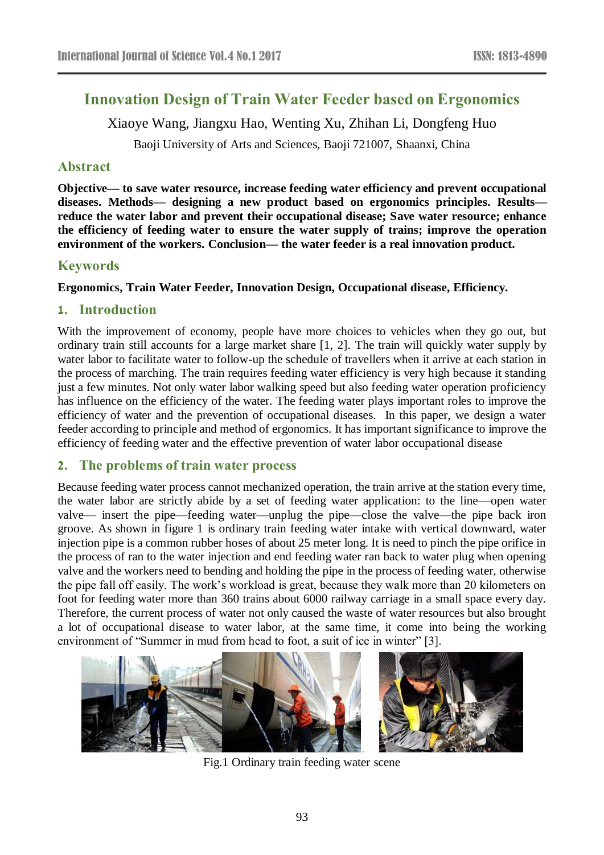# **Innovation Design of Train Water Feeder based on Ergonomics**

Xiaoye Wang, Jiangxu Hao, Wenting Xu, Zhihan Li, Dongfeng Huo

Baoji University of Arts and Sciences, Baoji 721007, Shaanxi, China

# **Abstract**

**Objective— to save water resource, increase feeding water efficiency and prevent occupational diseases. Methods— designing a new product based on ergonomics principles. Results reduce the water labor and prevent their occupational disease; Save water resource; enhance the efficiency of feeding water to ensure the water supply of trains; improve the operation environment of the workers. Conclusion— the water feeder is a real innovation product.**

## **Keywords**

#### **Ergonomics, Train Water Feeder, Innovation Design, Occupational disease, Efficiency.**

## **1. Introduction**

With the improvement of economy, people have more choices to vehicles when they go out, but ordinary train still accounts for a large market share [1, 2]. The train will quickly water supply by water labor to facilitate water to follow-up the schedule of travellers when it arrive at each station in the process of marching. The train requires feeding water efficiency is very high because it standing just a few minutes. Not only water labor walking speed but also feeding water operation proficiency has influence on the efficiency of the water. The feeding water plays important roles to improve the efficiency of water and the prevention of occupational diseases. In this paper, we design a water feeder according to principle and method of ergonomics. It has important significance to improve the efficiency of feeding water and the effective prevention of water labor occupational disease

### **2. The problems of train water process**

Because feeding water process cannot mechanized operation, the train arrive at the station every time, the water labor are strictly abide by a set of feeding water application: to the line—open water valve— insert the pipe—feeding water—unplug the pipe—close the valve—the pipe back iron groove. As shown in figure 1 is ordinary train feeding water intake with vertical downward, water injection pipe is a common rubber hoses of about 25 meter long. It is need to pinch the pipe orifice in the process of ran to the water injection and end feeding water ran back to water plug when opening valve and the workers need to bending and holding the pipe in the process of feeding water, otherwise the pipe fall off easily. The work's workload is great, because they walk more than 20 kilometers on foot for feeding water more than 360 trains about 6000 railway carriage in a small space every day. Therefore, the current process of water not only caused the waste of water resources but also brought a lot of occupational disease to water labor, at the same time, it come into being the working environment of "Summer in mud from head to foot, a suit of ice in winter" [3].



Fig.1 Ordinary train feeding water scene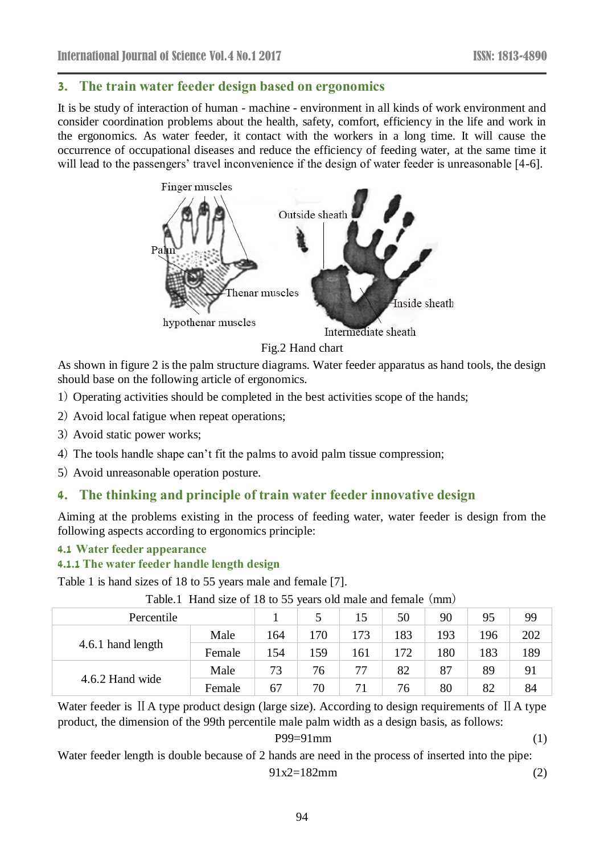### **3. The train water feeder design based on ergonomics**

It is be study of interaction of human - machine - environment in all kinds of work environment and consider coordination problems about the health, safety, comfort, efficiency in the life and work in the ergonomics. As water feeder, it contact with the workers in a long time. It will cause the occurrence of occupational diseases and reduce the efficiency of feeding water, at the same time it will lead to the passengers' travel inconvenience if the design of water feeder is unreasonable [4-6].



Fig.2 Hand chart

As shown in figure 2 is the palm structure diagrams. Water feeder apparatus as hand tools, the design should base on the following article of ergonomics.

- 1) Operating activities should be completed in the best activities scope of the hands;
- 2) Avoid local fatigue when repeat operations;
- 3) Avoid static power works;
- 4) The tools handle shape can't fit the palms to avoid palm tissue compression;
- 5) Avoid unreasonable operation posture.

# **4. The thinking and principle of train water feeder innovative design**

Aiming at the problems existing in the process of feeding water, water feeder is design from the following aspects according to ergonomics principle:

#### **4.1 Water feeder appearance**

#### **4.1.1 The water feeder handle length design**

Table 1 is hand sizes of 18 to 55 years male and female [7].

| Percentile        |        |     |     | 15  | 50  | 90  | 95  | 99  |
|-------------------|--------|-----|-----|-----|-----|-----|-----|-----|
| 4.6.1 hand length | Male   | 164 | 170 | 173 | 183 | 193 | 196 | 202 |
|                   | Female | 154 | 159 | 161 | 172 | 180 | 183 | 189 |
| 4.6.2 Hand wide   | Male   | 73  | 76  | 77  | 82  | 87  | 89  | 91  |
|                   | Female | 67  | 70  | 71  | 76  | 80  | 82  | 84  |

Table.1 Hand size of 18 to 55 years old male and female (mm)

Water feeder is II A type product design (large size). According to design requirements of II A type product, the dimension of the 99th percentile male palm width as a design basis, as follows:

$$
P99=91 \,\mathrm{mm} \tag{1}
$$

Water feeder length is [double](javascript:void(0);) because of 2 hands are need in the process of inserted into the pipe:

91x2=182mm (2)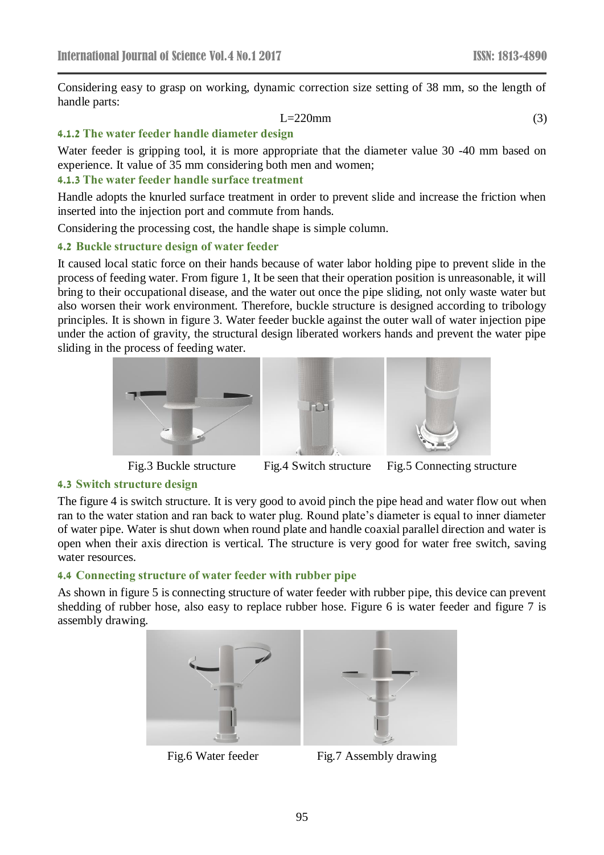Considering easy to grasp on working, dynamic correction size setting of 38 mm, so the length of handle parts:

$$
L=220mm
$$
 (3)

#### **4.1.2 The water feeder handle diameter design**

Water feeder is gripping tool, it is more appropriate that the diameter value 30 -40 mm based on experience. It value of 35 mm considering both men and women;

### **4.1.3 The water feeder handle surface treatment**

Handle adopts the knurled surface treatment in order to prevent slide and increase the friction when inserted into the injection port and commute from hands.

Considering the processing cost, the handle shape is simple column.

#### **4.2 Buckle structure design of water feeder**

It caused local static force on their hands because of water labor holding pipe to prevent slide in the process of feeding water. From figure 1, It be seen that their operation position is unreasonable, it will bring to their occupational disease, and the water out once the pipe sliding, not only waste water but also worsen their work environment. Therefore, buckle structure is designed according to tribology principles. It is shown in figure 3. Water feeder buckle against the outer wall of water injection pipe under the action of gravity, the structural design liberated workers hands and prevent the water pipe sliding in the process of feeding water.







Fig.3 Buckle structure Fig.4 Switch structure Fig.5 Connecting structure

#### **4.3 Switch structure design**

The figure 4 is switch structure. It is very good to avoid pinch the pipe head and water flow out when ran to the water station and ran back to water plug. Round plate's diameter is equal to inner diameter of water pipe. Water is shut down when round plate and handle coaxial parallel direction and water is open when their axis direction is vertical. The structure is very good for water free switch, saving water resources.

#### **4.4 Connecting structure of water feeder with rubber pipe**

As shown in figure 5 is connecting structure of water feeder with rubber pipe, this device can prevent shedding of rubber hose, also easy to replace rubber hose. Figure 6 is water feeder and figure 7 is assembly drawing.





Fig.6 Water feeder Fig.7 Assembly drawing